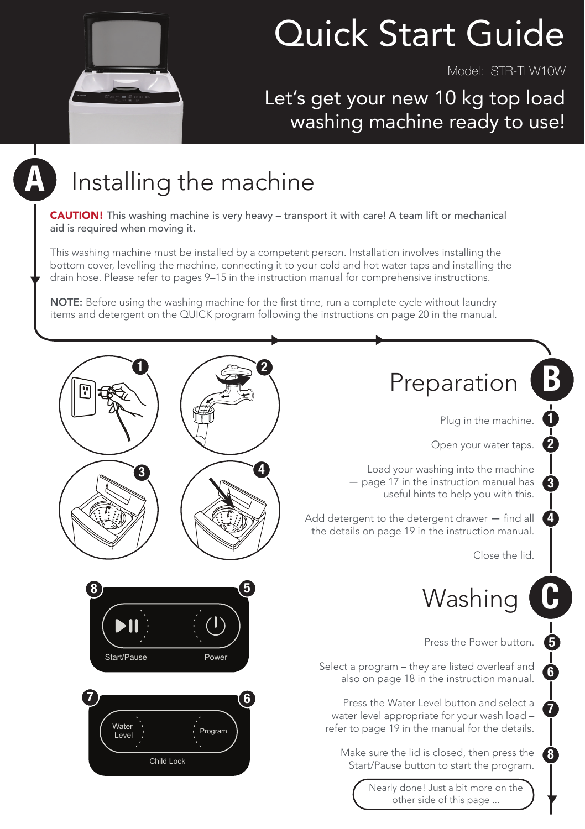

# Quick Start Guide

Model: STR-TLW10W

#### Let's get your new 10 kg top load washing machine ready to use!

## A

## Installing the machine

CAUTION! This washing machine is very heavy – transport it with care! A team lift or mechanical aid is required when moving it.

This washing machine must be installed by a competent person. Installation involves installing the bottom cover, levelling the machine, connecting it to your cold and hot water taps and installing the drain hose. Please refer to pages 9–15 in the instruction manual for comprehensive instructions.

NOTE: Before using the washing machine for the first time, run a complete cycle without laundry items and detergent on the QUICK program following the instructions on page 20 in the manual.